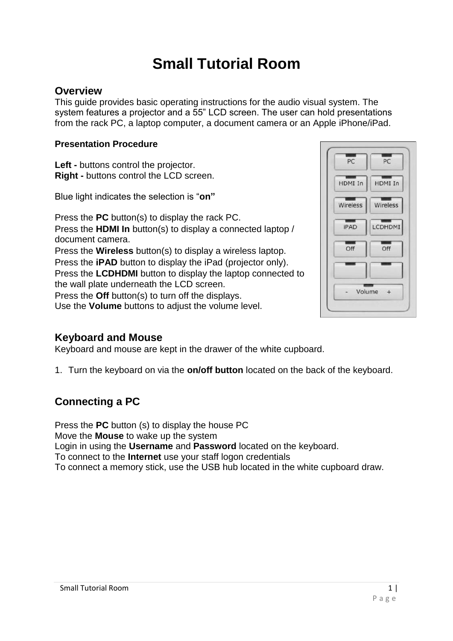# **Small Tutorial Room**

#### **Overview**

This guide provides basic operating instructions for the audio visual system. The system features a projector and a 55" LCD screen. The user can hold presentations from the rack PC, a laptop computer, a document camera or an Apple iPhone/iPad.

#### **Presentation Procedure**

**Left -** buttons control the projector. **Right -** buttons control the LCD screen.

Blue light indicates the selection is "**on"**

Press the **PC** button(s) to display the rack PC. Press the **HDMI In** button(s) to display a connected laptop / document camera. Press the **Wireless** button(s) to display a wireless laptop. Press the **iPAD** button to display the iPad (projector only). Press the **LCDHDMI** button to display the laptop connected to the wall plate underneath the LCD screen. Press the **Off** button(s) to turn off the displays. Use the **Volume** buttons to adjust the volume level.

#### **Keyboard and Mouse**

Keyboard and mouse are kept in the drawer of the white cupboard.

1. Turn the keyboard on via the **on/off button** located on the back of the keyboard.

# **Connecting a PC**

Press the **PC** button (s) to display the house PC Move the **Mouse** to wake up the system Login in using the **Username** and **Password** located on the keyboard. To connect to the **Internet** use your staff logon credentials To connect a memory stick, use the USB hub located in the white cupboard draw.